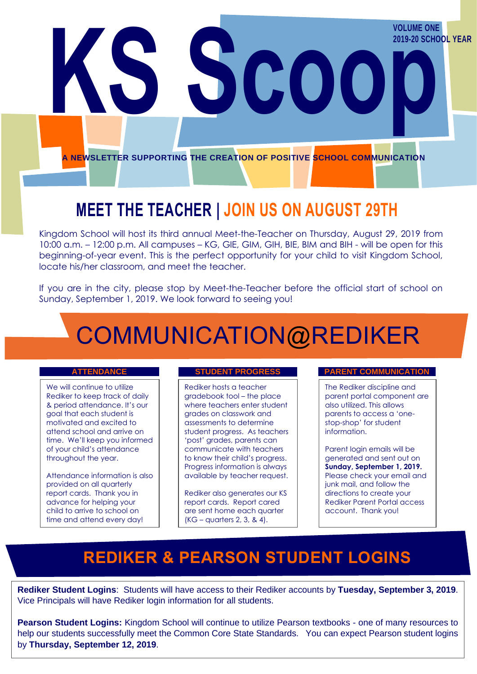**A NEWSLETTER SUPPORTING THE CREATION OF POSITIVE SCHOOL COMMUNICATION**

**KSLUME ONE** 

**2019-20 SCHOOL YEAR**

## **MEET THE TEACHER | JOIN US ON AUGUST 29TH**

Kingdom School will host its third annual Meet-the-Teacher on Thursday, August 29, 2019 from 10:00 a.m. – 12:00 p.m. All campuses – KG, GIE, GIM, GIH, BIE, BIM and BIH - will be open for this beginning-of-year event. This is the perfect opportunity for your child to visit Kingdom School, locate his/her classroom, and meet the teacher.

If you are in the city, please stop by Meet-the-Teacher before the official start of school on Sunday, September 1, 2019. We look forward to seeing you!

## COMMUNICATION@REDIKER

We will continue to utilize Rediker to keep track of daily & period attendance. It's our goal that each student is motivated and excited to attend school and arrive on time. We'll keep you informed of your child's attendance throughout the year.

Attendance information is also provided on all quarterly report cards. Thank you in advance for helping your child to arrive to school on time and attend every day!

Rediker hosts a teacher gradebook tool – the place where teachers enter student grades on classwork and assessments to determine student progress. As teachers 'post' grades, parents can communicate with teachers to know their child's progress. Progress information is always available by teacher request.

Rediker also generates our KS report cards. Report cared are sent home each quarter (KG – quarters 2, 3, & 4).

### **ATTENDANCE STUDENT PROGRESS PARENT COMMUNICATION**

The Rediker discipline and parent portal component are also utilized. This allows parents to access a 'onestop-shop' for student information.

Parent login emails will be generated and sent out on **Sunday, September 1, 2019.** Please check your email and junk mail, and follow the directions to create your Rediker Parent Portal access account. Thank you!

### **REDIKER & PEARSON STUDENT LOGINS**

**Rediker Student Logins**: Students will have access to their Rediker accounts by **Tuesday, September 3, 2019**. Vice Principals will have Rediker login information for all students.

**Pearson Student Logins:** Kingdom School will continue to utilize Pearson textbooks - one of many resources to help our students successfully meet the Common Core State Standards. You can expect Pearson student logins by **Thursday, September 12, 2019**.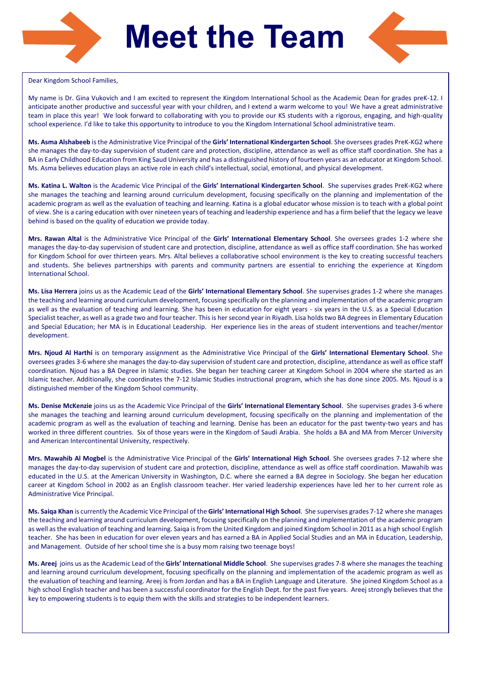

# **Meet the Team**



### Dear Kingdom School Families,

My name is Dr. Gina Vukovich and I am excited to represent the Kingdom International School as the Academic Dean for grades preK-12. I anticipate another productive and successful year with your children, and I extend a warm welcome to you! We have a great administrative team in place this year! We look forward to collaborating with you to provide our KS students with a rigorous, engaging, and high-quality school experience. I'd like to take this opportunity to introduce to you the Kingdom International School administrative team.

**Ms. Asma Alshabeeb** is the Administrative Vice Principal of the **Girls' International Kindergarten School**. She oversees grades PreK-KG2 where she manages the day-to-day supervision of student care and protection, discipline, attendance as well as office staff coordination. She has a BA in Early Childhood Education from King Saud University and has a distinguished history of fourteen years as an educator at Kingdom School. Ms. Asma believes education plays an active role in each child's intellectual, social, emotional, and physical development.

**Ms. Katina L. Walton** is the Academic Vice Principal of the **Girls' International Kindergarten School**. She supervises grades PreK-KG2 where she manages the teaching and learning around curriculum development, focusing specifically on the planning and implementation of the academic program as well as the evaluation of teaching and learning. Katina is a global educator whose mission is to teach with a global point of view. She is a caring education with over nineteen years of teaching and leadership experience and has a firm belief that the legacy we leave behind is based on the quality of education we provide today.

**Mrs. Rawan Altal** is the Administrative Vice Principal of the **Girls' International Elementary School**. She oversees grades 1-2 where she manages the day-to-day supervision of student care and protection, discipline, attendance as well as office staff coordination. She has worked for Kingdom School for over thirteen years. Mrs. Altal believes a collaborative school environment is the key to creating successful teachers and students. She believes partnerships with parents and community partners are essential to enriching the experience at Kingdom International School.

**Ms. Lisa Herrera** joins us as the Academic Lead of the **Girls' International Elementary School**. She supervises grades 1-2 where she manages the teaching and learning around curriculum development, focusing specifically on the planning and implementation of the academic program as well as the evaluation of teaching and learning. She has been in education for eight years - six years in the U.S. as a Special Education Specialist teacher, as well as a grade two and four teacher. This is her second year in Riyadh. Lisa holds two BA degrees in Elementary Education and Special Education; her MA is in Educational Leadership. Her experience lies in the areas of student interventions and teacher/mentor development.

**Mrs. Njoud Al Harthi** is on temporary assignment as the Administrative Vice Principal of the **Girls' International Elementary School**. She oversees grades 3-6 where she manages the day-to-day supervision of student care and protection, discipline, attendance as well as office staff coordination. Njoud has a BA Degree in Islamic studies. She began her teaching career at Kingdom School in 2004 where she started as an Islamic teacher. Additionally, she coordinates the 7-12 Islamic Studies instructional program, which she has done since 2005. Ms. Njoud is a distinguished member of the Kingdom School community.

**Ms. Denise McKenzie** joins us as the Academic Vice Principal of the **Girls' International Elementary School**. She supervises grades 3-6 where she manages the teaching and learning around curriculum development, focusing specifically on the planning and implementation of the academic program as well as the evaluation of teaching and learning. Denise has been an educator for the past twenty-two years and has worked in three different countries. Six of those years were in the Kingdom of Saudi Arabia. She holds a BA and MA from Mercer University and American Intercontinental University, respectively.

**Mrs. Mawahib Al Mogbel** is the Administrative Vice Principal of the **Girls' International High School**. She oversees grades 7-12 where she manages the day-to-day supervision of student care and protection, discipline, attendance as well as office staff coordination. Mawahib was educated in the U.S. at the American University in Washington, D.C. where she earned a BA degree in Sociology. She began her education career at Kingdom School in 2002 as an English classroom teacher. Her varied leadership experiences have led her to her current role as Administrative Vice Principal.

**Ms. Saiqa Khan** is currently the Academic Vice Principal of the **Girls' International High School**. She supervises grades 7-12 where she manages the teaching and learning around curriculum development, focusing specifically on the planning and implementation of the academic program as well as the evaluation of teaching and learning. Saiqa is from the United Kingdom and joined Kingdom School in 2011 as a high school English teacher. She has been in education for over eleven years and has earned a BA in Applied Social Studies and an MA in Education, Leadership, and Management. Outside of her school time she is a busy mom raising two teenage boys!

**Ms. Areej** joins us as the Academic Lead of the **Girls' International Middle School**. She supervises grades 7-8 where she manages the teaching and learning around curriculum development, focusing specifically on the planning and implementation of the academic program as well as the evaluation of teaching and learning. Areej is from Jordan and has a BA in English Language and Literature. She joined Kingdom School as a high school English teacher and has been a successful coordinator for the English Dept. for the past five years. Areej strongly believes that the key to empowering students is to equip them with the skills and strategies to be independent learners.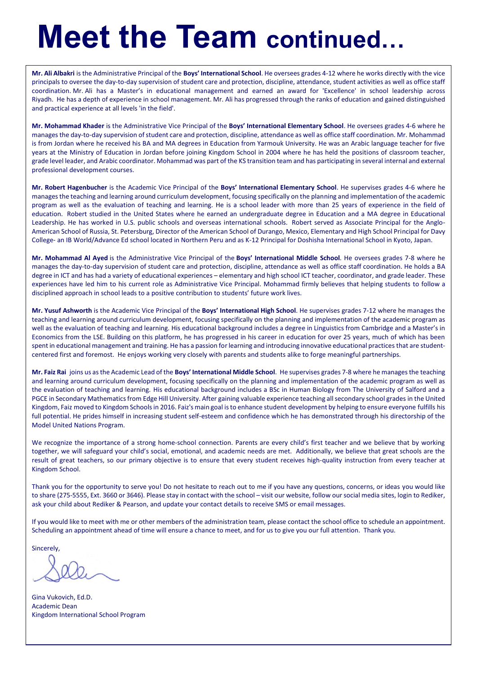# **Meet the Team continued…**

**Mr. Ali Albakri** is the Administrative Principal of the **Boys' International School**. He oversees grades 4-12 where he works directly with the vice principals to oversee the day-to-day supervision of student care and protection, discipline, attendance, student activities as well as office staff coordination. Mr. Ali has a Master's in educational management and earned an award for 'Excellence' in school leadership across Riyadh. He has a depth of experience in school management. Mr. Ali has progressed through the ranks of education and gained distinguished and practical experience at all levels 'in the field'.

**Mr. Mohammad Khader** is the Administrative Vice Principal of the **Boys' International Elementary School**. He oversees grades 4-6 where he manages the day-to-day supervision of student care and protection, discipline, attendance as well as office staff coordination. Mr. Mohammad is from Jordan where he received his BA and MA degrees in Education from Yarmouk University. He was an Arabic language teacher for five years at the Ministry of Education in Jordan before joining Kingdom School in 2004 where he has held the positions of classroom teacher, grade level leader, and Arabic coordinator. Mohammad was part of the KS transition team and has participating in several internal and external professional development courses.

**Mr. Robert Hagenbucher** is the Academic Vice Principal of the **Boys' International Elementary School**. He supervises grades 4-6 where he manages the teaching and learning around curriculum development, focusing specifically on the planning and implementation of the academic program as well as the evaluation of teaching and learning. He is a school leader with more than 25 years of experience in the field of education. Robert studied in the United States where he earned an undergraduate degree in Education and a MA degree in Educational Leadership. He has worked in U.S. public schools and overseas international schools. Robert served as Associate Principal for the Anglo-American School of Russia, St. Petersburg, Director of the American School of Durango, Mexico, Elementary and High School Principal for Davy College- an IB World/Advance Ed school located in Northern Peru and as K-12 Principal for Doshisha International School in Kyoto, Japan.

**Mr. Mohammad Al Ayed** is the Administrative Vice Principal of the **Boys' International Middle School**. He oversees grades 7-8 where he manages the day-to-day supervision of student care and protection, discipline, attendance as well as office staff coordination. He holds a BA degree in ICT and has had a variety of educational experiences – elementary and high school ICT teacher, coordinator, and grade leader. These experiences have led him to his current role as Administrative Vice Principal. Mohammad firmly believes that helping students to follow a disciplined approach in school leads to a positive contribution to students' future work lives.

**Mr. Yusuf Ashworth** is the Academic Vice Principal of the **Boys' International High School**. He supervises grades 7-12 where he manages the teaching and learning around curriculum development, focusing specifically on the planning and implementation of the academic program as well as the evaluation of teaching and learning. His educational background includes a degree in Linguistics from Cambridge and a Master's in Economics from the LSE. Building on this platform, he has progressed in his career in education for over 25 years, much of which has been spent in educational management and training. He has a passion for learning and introducing innovative educational practices that are studentcentered first and foremost. He enjoys working very closely with parents and students alike to forge meaningful partnerships.

**Mr. Faiz Rai** joins us as the Academic Lead of the **Boys' International Middle School**. He supervises grades 7-8 where he manages the teaching and learning around curriculum development, focusing specifically on the planning and implementation of the academic program as well as the evaluation of teaching and learning. His educational background includes a BSc in Human Biology from The University of Salford and a PGCE in Secondary Mathematics from Edge Hill University. After gaining valuable experience teaching all secondary school grades in the United Kingdom, Faiz moved to Kingdom Schools in 2016. Faiz's main goal is to enhance student development by helping to ensure everyone fulfills his full potential. He prides himself in increasing student self-esteem and confidence which he has demonstrated through his directorship of the Model United Nations Program.

We recognize the importance of a strong home-school connection. Parents are every child's first teacher and we believe that by working together, we will safeguard your child's social, emotional, and academic needs are met. Additionally, we believe that great schools are the result of great teachers, so our primary objective is to ensure that every student receives high-quality instruction from every teacher at Kingdom School.

Thank you for the opportunity to serve you! Do not hesitate to reach out to me if you have any questions, concerns, or ideas you would like to share (275-5555, Ext. 3660 or 3646). Please stay in contact with the school – visit our website, follow our social media sites, login to Rediker, ask your child about Rediker & Pearson, and update your contact details to receive SMS or email messages.

If you would like to meet with me or other members of the administration team, please contact the school office to schedule an appointment. Scheduling an appointment ahead of time will ensure a chance to meet, and for us to give you our full attention. Thank you.

**Sincerely** 

Gina Vukovich, Ed.D. Academic Dean Kingdom International School Program